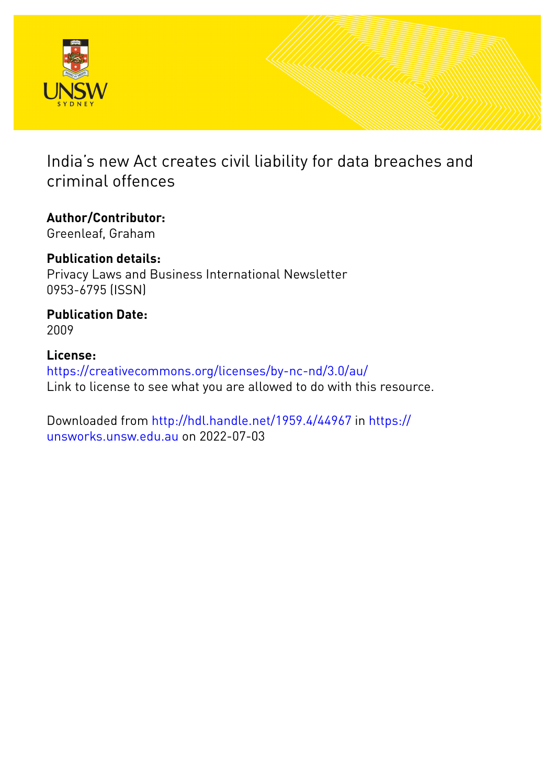

India's new Act creates civil liability for data breaches and criminal offences

**Author/Contributor:** Greenleaf, Graham

**Publication details:** Privacy Laws and Business International Newsletter 0953-6795 (ISSN)

**Publication Date:** 2009

**License:** <https://creativecommons.org/licenses/by-nc-nd/3.0/au/> Link to license to see what you are allowed to do with this resource.

Downloaded from <http://hdl.handle.net/1959.4/44967> in [https://](https://unsworks.unsw.edu.au) [unsworks.unsw.edu.au](https://unsworks.unsw.edu.au) on 2022-07-03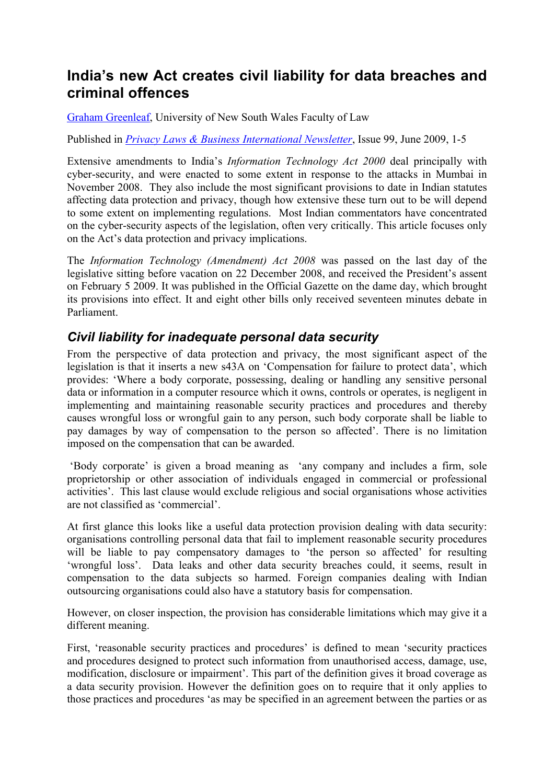# **India's new Act creates civil liability for data breaches and criminal offences**

Graham Greenleaf, University of New South Wales Faculty of Law

Published in *Privacy Laws & Business International Newsletter*, Issue 99, June 2009, 1-5

Extensive amendments to India's *Information Technology Act 2000* deal principally with cyber-security, and were enacted to some extent in response to the attacks in Mumbai in November 2008. They also include the most significant provisions to date in Indian statutes affecting data protection and privacy, though how extensive these turn out to be will depend to some extent on implementing regulations. Most Indian commentators have concentrated on the cyber-security aspects of the legislation, often very critically. This article focuses only on the Act's data protection and privacy implications.

The *Information Technology (Amendment) Act 2008* was passed on the last day of the legislative sitting before vacation on 22 December 2008, and received the President's assent on February 5 2009. It was published in the Official Gazette on the dame day, which brought its provisions into effect. It and eight other bills only received seventeen minutes debate in Parliament.

#### *Civil liability for inadequate personal data security*

From the perspective of data protection and privacy, the most significant aspect of the legislation is that it inserts a new s43A on 'Compensation for failure to protect data', which provides: 'Where a body corporate, possessing, dealing or handling any sensitive personal data or information in a computer resource which it owns, controls or operates, is negligent in implementing and maintaining reasonable security practices and procedures and thereby causes wrongful loss or wrongful gain to any person, such body corporate shall be liable to pay damages by way of compensation to the person so affected'. There is no limitation imposed on the compensation that can be awarded.

 'Body corporate' is given a broad meaning as 'any company and includes a firm, sole proprietorship or other association of individuals engaged in commercial or professional activities'. This last clause would exclude religious and social organisations whose activities are not classified as 'commercial'.

At first glance this looks like a useful data protection provision dealing with data security: organisations controlling personal data that fail to implement reasonable security procedures will be liable to pay compensatory damages to 'the person so affected' for resulting 'wrongful loss'. Data leaks and other data security breaches could, it seems, result in compensation to the data subjects so harmed. Foreign companies dealing with Indian outsourcing organisations could also have a statutory basis for compensation.

However, on closer inspection, the provision has considerable limitations which may give it a different meaning.

First, 'reasonable security practices and procedures' is defined to mean 'security practices and procedures designed to protect such information from unauthorised access, damage, use, modification, disclosure or impairment'. This part of the definition gives it broad coverage as a data security provision. However the definition goes on to require that it only applies to those practices and procedures 'as may be specified in an agreement between the parties or as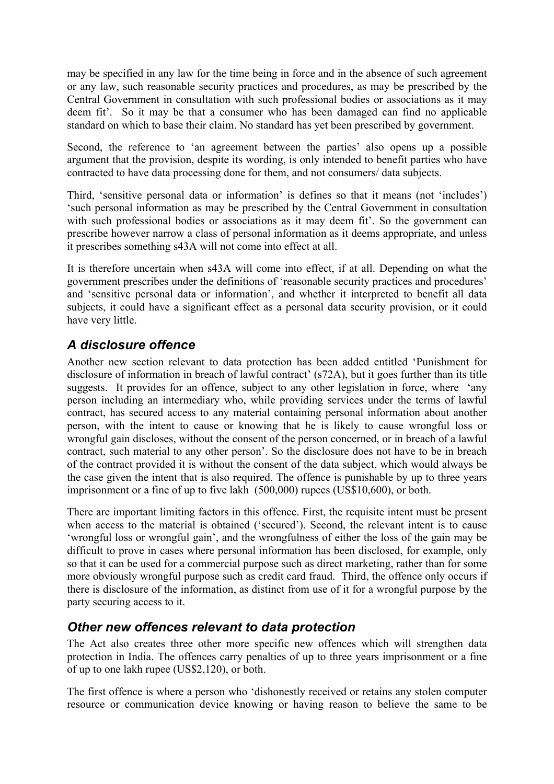may be specified in any law for the time being in force and in the absence of such agreement or any law, such reasonable security practices and procedures, as may be prescribed by the Central Government in consultation with such professional bodies or associations as it may deem fit'. So it may be that a consumer who has been damaged can find no applicable standard on which to base their claim. No standard has yet been prescribed by government.

Second, the reference to 'an agreement between the parties' also opens up a possible argument that the provision, despite its wording, is only intended to benefit parties who have contracted to have data processing done for them, and not consumers/ data subjects.

Third, 'sensitive personal data or information' is defines so that it means (not 'includes') 'such personal information as may be prescribed by the Central Government in consultation with such professional bodies or associations as it may deem fit'. So the government can prescribe however narrow a class of personal information as it deems appropriate, and unless it prescribes something s43A will not come into effect at all.

It is therefore uncertain when s43A will come into effect, if at all. Depending on what the government prescribes under the definitions of 'reasonable security practices and procedures' and 'sensitive personal data or information', and whether it interpreted to benefit all data subjects, it could have a significant effect as a personal data security provision, or it could have very little.

## *A disclosure offence*

Another new section relevant to data protection has been added entitled 'Punishment for disclosure of information in breach of lawful contract' (s72A), but it goes further than its title suggests. It provides for an offence, subject to any other legislation in force, where 'any person including an intermediary who, while providing services under the terms of lawful contract, has secured access to any material containing personal information about another person, with the intent to cause or knowing that he is likely to cause wrongful loss or wrongful gain discloses, without the consent of the person concerned, or in breach of a lawful contract, such material to any other person'. So the disclosure does not have to be in breach of the contract provided it is without the consent of the data subject, which would always be the case given the intent that is also required. The offence is punishable by up to three years imprisonment or a fine of up to five lakh (500,000) rupees (US\$10,600), or both.

There are important limiting factors in this offence. First, the requisite intent must be present when access to the material is obtained ('secured'). Second, the relevant intent is to cause 'wrongful loss or wrongful gain', and the wrongfulness of either the loss of the gain may be difficult to prove in cases where personal information has been disclosed, for example, only so that it can be used for a commercial purpose such as direct marketing, rather than for some more obviously wrongful purpose such as credit card fraud. Third, the offence only occurs if there is disclosure of the information, as distinct from use of it for a wrongful purpose by the party securing access to it.

### *Other new offences relevant to data protection*

The Act also creates three other more specific new offences which will strengthen data protection in India. The offences carry penalties of up to three years imprisonment or a fine of up to one lakh rupee (US\$2,120), or both.

The first offence is where a person who 'dishonestly received or retains any stolen computer resource or communication device knowing or having reason to believe the same to be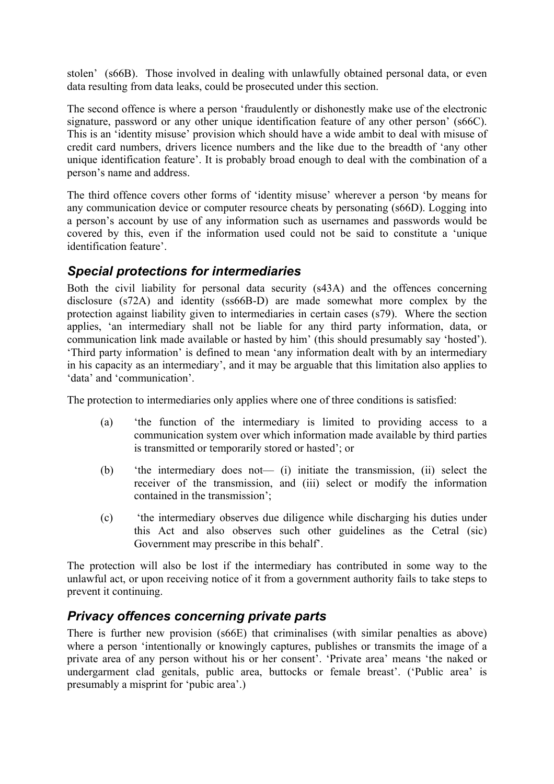stolen' (s66B). Those involved in dealing with unlawfully obtained personal data, or even data resulting from data leaks, could be prosecuted under this section.

The second offence is where a person 'fraudulently or dishonestly make use of the electronic signature, password or any other unique identification feature of any other person' (s66C). This is an 'identity misuse' provision which should have a wide ambit to deal with misuse of credit card numbers, drivers licence numbers and the like due to the breadth of 'any other unique identification feature'. It is probably broad enough to deal with the combination of a person's name and address.

The third offence covers other forms of 'identity misuse' wherever a person 'by means for any communication device or computer resource cheats by personating (s66D). Logging into a person's account by use of any information such as usernames and passwords would be covered by this, even if the information used could not be said to constitute a 'unique identification feature'.

#### *Special protections for intermediaries*

Both the civil liability for personal data security (s43A) and the offences concerning disclosure (s72A) and identity (ss66B-D) are made somewhat more complex by the protection against liability given to intermediaries in certain cases (s79). Where the section applies, 'an intermediary shall not be liable for any third party information, data, or communication link made available or hasted by him' (this should presumably say 'hosted'). 'Third party information' is defined to mean 'any information dealt with by an intermediary in his capacity as an intermediary', and it may be arguable that this limitation also applies to 'data' and 'communication'.

The protection to intermediaries only applies where one of three conditions is satisfied:

- (a) 'the function of the intermediary is limited to providing access to a communication system over which information made available by third parties is transmitted or temporarily stored or hasted'; or
- (b) 'the intermediary does not— (i) initiate the transmission, (ii) select the receiver of the transmission, and (iii) select or modify the information contained in the transmission';
- (c) 'the intermediary observes due diligence while discharging his duties under this Act and also observes such other guidelines as the Cetral (sic) Government may prescribe in this behalf'.

The protection will also be lost if the intermediary has contributed in some way to the unlawful act, or upon receiving notice of it from a government authority fails to take steps to prevent it continuing.

### *Privacy offences concerning private parts*

There is further new provision (s66E) that criminalises (with similar penalties as above) where a person 'intentionally or knowingly captures, publishes or transmits the image of a private area of any person without his or her consent'. 'Private area' means 'the naked or undergarment clad genitals, public area, buttocks or female breast'. ('Public area' is presumably a misprint for 'pubic area'.)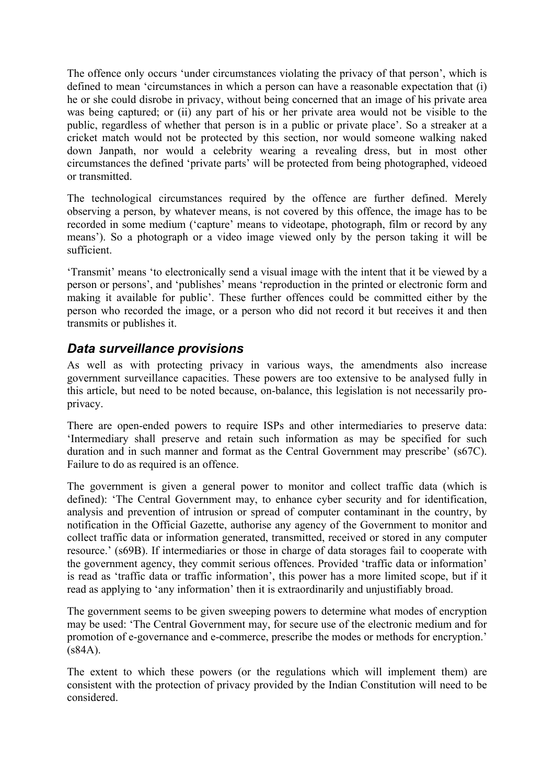The offence only occurs 'under circumstances violating the privacy of that person', which is defined to mean 'circumstances in which a person can have a reasonable expectation that (i) he or she could disrobe in privacy, without being concerned that an image of his private area was being captured; or (ii) any part of his or her private area would not be visible to the public, regardless of whether that person is in a public or private place'. So a streaker at a cricket match would not be protected by this section, nor would someone walking naked down Janpath, nor would a celebrity wearing a revealing dress, but in most other circumstances the defined 'private parts' will be protected from being photographed, videoed or transmitted.

The technological circumstances required by the offence are further defined. Merely observing a person, by whatever means, is not covered by this offence, the image has to be recorded in some medium ('capture' means to videotape, photograph, film or record by any means'). So a photograph or a video image viewed only by the person taking it will be sufficient.

'Transmit' means 'to electronically send a visual image with the intent that it be viewed by a person or persons', and 'publishes' means 'reproduction in the printed or electronic form and making it available for public'. These further offences could be committed either by the person who recorded the image, or a person who did not record it but receives it and then transmits or publishes it.

#### *Data surveillance provisions*

As well as with protecting privacy in various ways, the amendments also increase government surveillance capacities. These powers are too extensive to be analysed fully in this article, but need to be noted because, on-balance, this legislation is not necessarily proprivacy.

There are open-ended powers to require ISPs and other intermediaries to preserve data: 'Intermediary shall preserve and retain such information as may be specified for such duration and in such manner and format as the Central Government may prescribe' (s67C). Failure to do as required is an offence.

The government is given a general power to monitor and collect traffic data (which is defined): 'The Central Government may, to enhance cyber security and for identification, analysis and prevention of intrusion or spread of computer contaminant in the country, by notification in the Official Gazette, authorise any agency of the Government to monitor and collect traffic data or information generated, transmitted, received or stored in any computer resource.' (s69B). If intermediaries or those in charge of data storages fail to cooperate with the government agency, they commit serious offences. Provided 'traffic data or information' is read as 'traffic data or traffic information', this power has a more limited scope, but if it read as applying to 'any information' then it is extraordinarily and unjustifiably broad.

The government seems to be given sweeping powers to determine what modes of encryption may be used: 'The Central Government may, for secure use of the electronic medium and for promotion of e-governance and e-commerce, prescribe the modes or methods for encryption.' (s84A).

The extent to which these powers (or the regulations which will implement them) are consistent with the protection of privacy provided by the Indian Constitution will need to be considered.